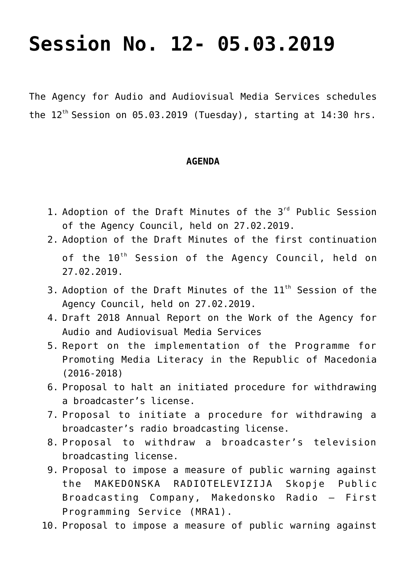## **[Session No. 12- 05.03.2019](https://avmu.mk/en/session-no-12-05-03-2019/)**

The Agency for Audio and Audiovisual Media Services schedules the  $12^{th}$  Session on  $05.03.2019$  (Tuesday), starting at  $14:30$  hrs.

## **AGENDA**

- 1. Adoption of the Draft Minutes of the 3<sup>rd</sup> Public Session of the Agency Council, held on 27.02.2019.
- 2. Adoption of the Draft Minutes of the first continuation of the  $10^{th}$  Session of the Agency Council, held on 27.02.2019.
- 3. Adoption of the Draft Minutes of the  $11<sup>th</sup>$  Session of the Agency Council, held on 27.02.2019.
- 4. Draft 2018 Annual Report on the Work of the Agency for Audio and Audiovisual Media Services
- 5. Report on the implementation of the Programme for Promoting Media Literacy in the Republic of Macedonia (2016-2018)
- 6. Proposal to halt an initiated procedure for withdrawing a broadcaster's license.
- 7. Proposal to initiate a procedure for withdrawing a broadcaster's radio broadcasting license.
- 8. Proposal to withdraw a broadcaster's television broadcasting license.
- 9. Proposal to impose a measure of public warning against the MAKEDONSKA RADIOTELEVIZIJA Skopje Public Broadcasting Company, Makedonsko Radio – First Programming Service (MRA1).
- 10. Proposal to impose a measure of public warning against